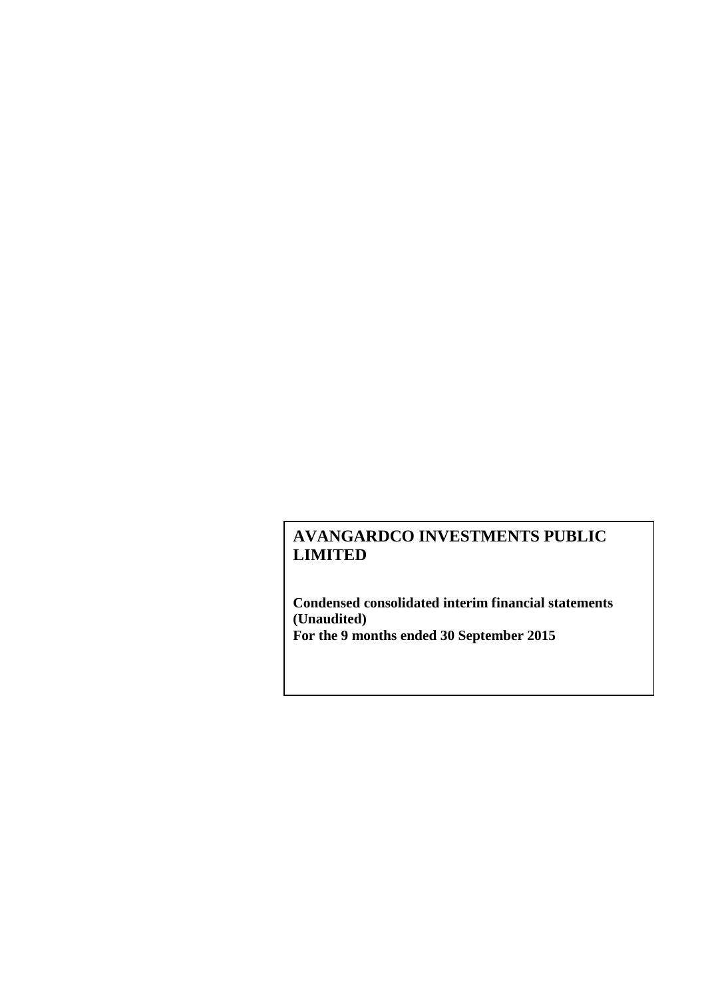**Condensed consolidated interim financial statements (Unaudited) For the 9 months ended 30 September 2015**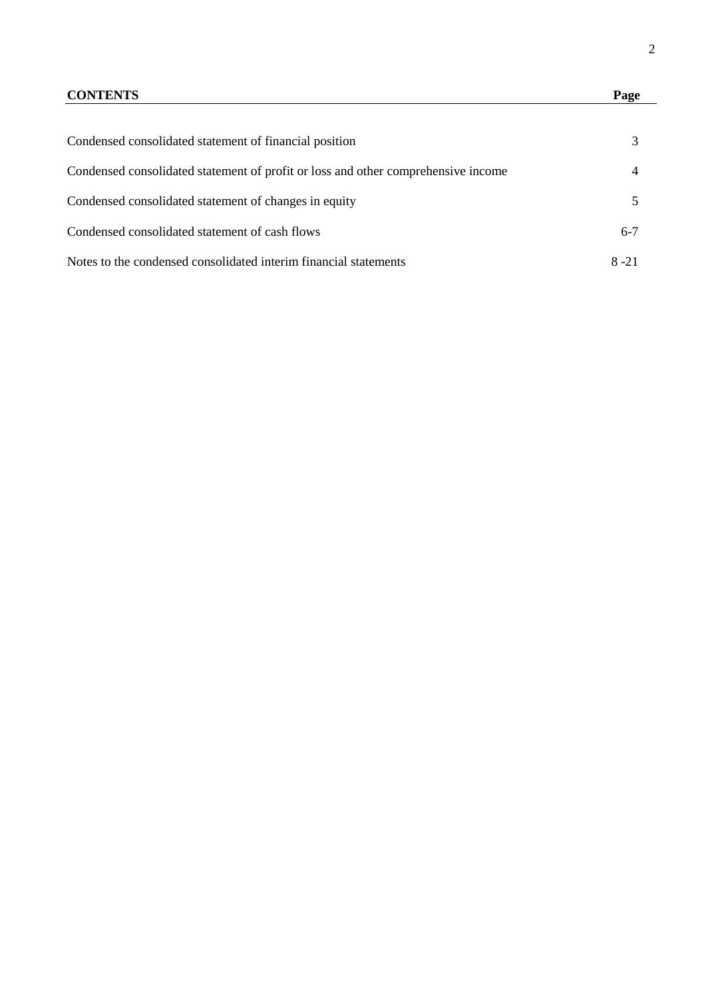# **CONTENTS Page**

| Condensed consolidated statement of financial position                            |       |
|-----------------------------------------------------------------------------------|-------|
| Condensed consolidated statement of profit or loss and other comprehensive income |       |
| Condensed consolidated statement of changes in equity                             |       |
| Condensed consolidated statement of cash flows                                    | $6-7$ |
| Notes to the condensed consolidated interim financial statements                  | 8-21  |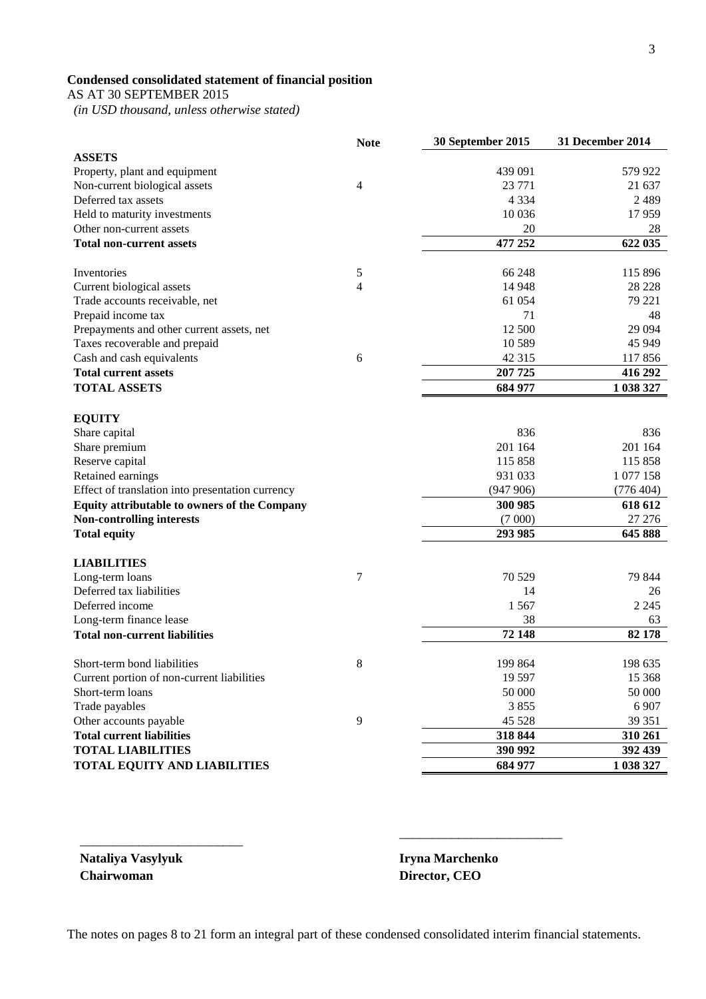# **Condensed consolidated statement of financial position**

AS AT 30 SEPTEMBER 2015

 *(in USD thousand, unless otherwise stated)*

|                                                                | <b>Note</b>    | 30 September 2015 | 31 December 2014 |
|----------------------------------------------------------------|----------------|-------------------|------------------|
| <b>ASSETS</b>                                                  |                |                   |                  |
| Property, plant and equipment                                  |                | 439 091           | 579 922          |
| Non-current biological assets                                  | 4              | 23 771            | 21 637           |
| Deferred tax assets                                            |                | 4 3 3 4           | 2 4 8 9          |
| Held to maturity investments                                   |                | 10 0 36           | 17959            |
| Other non-current assets                                       |                | 20                | 28               |
| <b>Total non-current assets</b>                                |                | 477 252           | 622 035          |
| Inventories                                                    | 5              | 66 248            | 115 896          |
| Current biological assets                                      | 4              | 14 9 48           | 28 228           |
| Trade accounts receivable, net                                 |                | 61 054            | 79 221           |
| Prepaid income tax                                             |                | 71                | 48               |
| Prepayments and other current assets, net                      |                | 12 500            | 29 0 94          |
| Taxes recoverable and prepaid                                  |                | 10 5 89           | 45 949           |
| Cash and cash equivalents                                      | 6              | 42 3 15           | 117856           |
| <b>Total current assets</b>                                    |                | 207 725           | 416 292          |
| <b>TOTAL ASSETS</b>                                            |                | 684 977           | 1 038 327        |
|                                                                |                |                   |                  |
| <b>EQUITY</b>                                                  |                |                   |                  |
| Share capital                                                  |                | 836               | 836              |
| Share premium                                                  |                | 201 164           | 201 164          |
| Reserve capital                                                |                | 115 858           | 115 858          |
| Retained earnings                                              |                | 931 033           | 1 077 158        |
| Effect of translation into presentation currency               |                | (947906)          | (776 404)        |
| Equity attributable to owners of the Company                   |                | 300 985           | 618 612          |
| <b>Non-controlling interests</b>                               |                | (7000)            | 27 27 6          |
| <b>Total equity</b>                                            |                | 293 985           | 645 888          |
| <b>LIABILITIES</b>                                             |                |                   |                  |
| Long-term loans                                                | 7              | 70 529            | 79 844           |
| Deferred tax liabilities                                       |                | 14                | 26               |
| Deferred income                                                |                | 1567              | 2 2 4 5          |
| Long-term finance lease                                        |                | 38                | 63               |
| <b>Total non-current liabilities</b>                           |                | 72 148            | 82 178           |
| Short-term bond liabilities                                    | 8              | 199 864           | 198 635          |
|                                                                |                | 19 5 97           | 15 3 68          |
| Current portion of non-current liabilities<br>Short-term loans |                | 50 000            | 50 000           |
|                                                                |                | 3855              | 6 907            |
| Trade payables                                                 | $\overline{9}$ | 45 5 28           | 39 351           |
| Other accounts payable<br><b>Total current liabilities</b>     |                | 318 844           |                  |
|                                                                |                |                   | 310 261          |
| <b>TOTAL LIABILITIES</b>                                       |                | 390 992           | 392 439          |
| <b>TOTAL EQUITY AND LIABILITIES</b>                            |                | 684 977           | 1 038 327        |

**Nataliya Vasylyuk Iryna Marchenko Chairwoman Director, CEO**

\_\_\_\_\_\_\_\_\_\_\_\_\_\_\_\_\_\_\_\_\_\_\_\_\_

\_\_\_\_\_\_\_\_\_\_\_\_\_\_\_\_\_\_\_\_\_\_\_\_\_

The notes on pages 8 to 21 form an integral part of these condensed consolidated interim financial statements.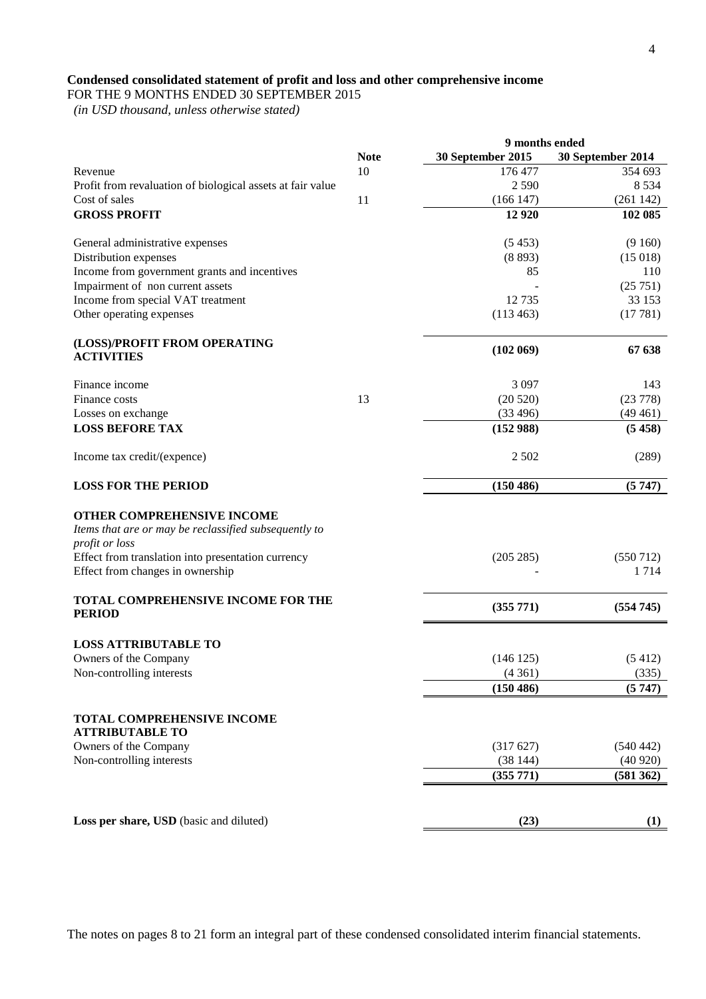# **Condensed consolidated statement of profit and loss and other comprehensive income**

FOR THE 9 MONTHS ENDED 30 SEPTEMBER 2015

 *(in USD thousand, unless otherwise stated)*

|                                                                                                              |             | 9 months ended    |                   |  |  |
|--------------------------------------------------------------------------------------------------------------|-------------|-------------------|-------------------|--|--|
|                                                                                                              | <b>Note</b> | 30 September 2015 | 30 September 2014 |  |  |
| Revenue                                                                                                      | 10          | 176 477           | 354 693           |  |  |
| Profit from revaluation of biological assets at fair value                                                   |             | 2590              | 8 5 3 4           |  |  |
| Cost of sales                                                                                                | 11          | (166147)          | (261142)          |  |  |
| <b>GROSS PROFIT</b>                                                                                          |             | 12 9 20           | 102 085           |  |  |
|                                                                                                              |             |                   |                   |  |  |
| General administrative expenses                                                                              |             | (5453)            | (9160)            |  |  |
| Distribution expenses                                                                                        |             | (8893)            | (15018)           |  |  |
| Income from government grants and incentives                                                                 |             | 85                | 110               |  |  |
| Impairment of non current assets                                                                             |             |                   | (25751)           |  |  |
| Income from special VAT treatment                                                                            |             | 12735             | 33 153            |  |  |
| Other operating expenses                                                                                     |             | (113 463)         | (17781)           |  |  |
| (LOSS)/PROFIT FROM OPERATING<br><b>ACTIVITIES</b>                                                            |             | (102069)          | 67 638            |  |  |
| Finance income                                                                                               |             | 3 0 9 7           | 143               |  |  |
| Finance costs                                                                                                | 13          | (20520)           | (23 778)          |  |  |
| Losses on exchange                                                                                           |             | (33 496)          | (49461)           |  |  |
| <b>LOSS BEFORE TAX</b>                                                                                       |             | (152988)          | (5458)            |  |  |
| Income tax credit/(expence)                                                                                  |             | 2 5 0 2           | (289)             |  |  |
| <b>LOSS FOR THE PERIOD</b>                                                                                   |             | (150 486)         | (5747)            |  |  |
| <b>OTHER COMPREHENSIVE INCOME</b><br>Items that are or may be reclassified subsequently to<br>profit or loss |             |                   |                   |  |  |
| Effect from translation into presentation currency<br>Effect from changes in ownership                       |             | (205 285)         | (550 712)<br>1714 |  |  |
| TOTAL COMPREHENSIVE INCOME FOR THE<br><b>PERIOD</b>                                                          |             | (355 771)         | (554745)          |  |  |
| <b>LOSS ATTRIBUTABLE TO</b>                                                                                  |             |                   |                   |  |  |
| Owners of the Company                                                                                        |             | (146125)          | (5412)            |  |  |
| Non-controlling interests                                                                                    |             | (4361)            | (335)             |  |  |
|                                                                                                              |             | (150 486)         | (5747)            |  |  |
| <b>TOTAL COMPREHENSIVE INCOME</b><br><b>ATTRIBUTABLE TO</b>                                                  |             |                   |                   |  |  |
| Owners of the Company                                                                                        |             | (317627)          | (540 442)         |  |  |
| Non-controlling interests                                                                                    |             | (38144)           | (40920)           |  |  |
|                                                                                                              |             | (355 771)         | (581 362)         |  |  |
|                                                                                                              |             |                   |                   |  |  |
| Loss per share, USD (basic and diluted)                                                                      |             | (23)              | (1)               |  |  |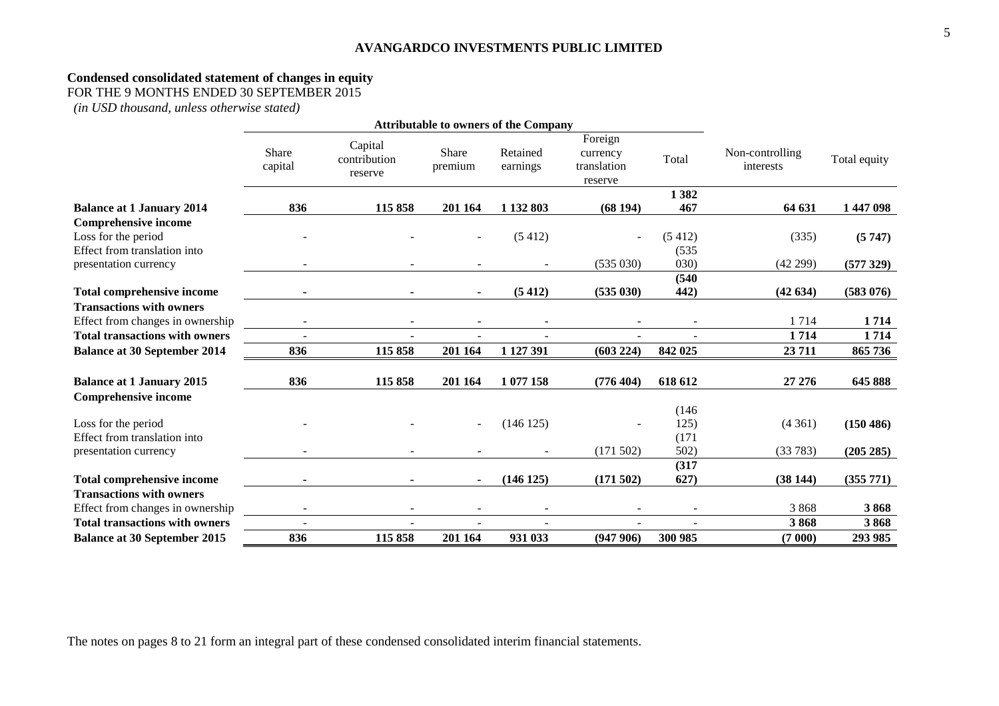#### **Condensed consolidated statement of changes in equity**

FOR THE 9 MONTHS ENDED 30 SEPTEMBER 2015

*(in USD thousand, unless otherwise stated)*

|                                                                                    | <b>Attributable to owners of the Company</b> |                                    |                  |                      |                                               |                        |                              |              |
|------------------------------------------------------------------------------------|----------------------------------------------|------------------------------------|------------------|----------------------|-----------------------------------------------|------------------------|------------------------------|--------------|
|                                                                                    | Share<br>capital                             | Capital<br>contribution<br>reserve | Share<br>premium | Retained<br>earnings | Foreign<br>currency<br>translation<br>reserve | Total                  | Non-controlling<br>interests | Total equity |
| <b>Balance at 1 January 2014</b>                                                   | 836                                          | 115 858                            | 201 164          | 1 132 803            | (68194)                                       | 1382<br>467            | 64 631                       | 1447098      |
| <b>Comprehensive income</b><br>Loss for the period<br>Effect from translation into |                                              |                                    |                  | (5412)               |                                               | (5412)<br>(535)        | (335)                        | (5747)       |
| presentation currency                                                              |                                              |                                    |                  |                      | (535030)                                      | (030)                  | (42299)                      | (577329)     |
| <b>Total comprehensive income</b>                                                  |                                              |                                    | $\sim$           | (5412)               | (535030)                                      | (540)<br>442)          | (42634)                      | (583 076)    |
| <b>Transactions with owners</b>                                                    |                                              |                                    |                  |                      |                                               |                        |                              |              |
| Effect from changes in ownership                                                   |                                              |                                    |                  |                      |                                               |                        | 1714                         | 1714         |
| <b>Total transactions with owners</b>                                              |                                              |                                    |                  |                      |                                               |                        | 1714                         | 1714         |
| <b>Balance at 30 September 2014</b>                                                | 836                                          | 115858                             | 201 164          | 1 127 391            | (603 224)                                     | 842 025                | 23711                        | 865 736      |
| <b>Balance at 1 January 2015</b>                                                   | 836                                          | 115 858                            | 201 164          | 1 077 158            | (776 404)                                     | 618 612                | 27 27 6                      | 645 888      |
| <b>Comprehensive income</b>                                                        |                                              |                                    |                  |                      |                                               |                        |                              |              |
| Loss for the period<br>Effect from translation into                                |                                              |                                    |                  | (146125)             |                                               | (146)<br>125)<br>(171) | (4361)                       | (150 486)    |
| presentation currency                                                              |                                              |                                    |                  |                      | (171502)                                      | 502)                   | (33783)                      | (205 285)    |
| <b>Total comprehensive income</b>                                                  |                                              |                                    | $\blacksquare$   | (146125)             | (171502)                                      | (317)<br>627)          | (38144)                      | (355 771)    |
| <b>Transactions with owners</b><br>Effect from changes in ownership                |                                              |                                    |                  |                      |                                               |                        | 3868                         | 3868         |
| <b>Total transactions with owners</b>                                              |                                              |                                    |                  |                      |                                               |                        | 3868                         | 3868         |
| <b>Balance at 30 September 2015</b>                                                | 836                                          | 115858                             | 201 164          | 931 033              | (947906)                                      | 300 985                | (7000)                       | 293 985      |

The notes on pages 8 to 21 form an integral part of these condensed consolidated interim financial statements.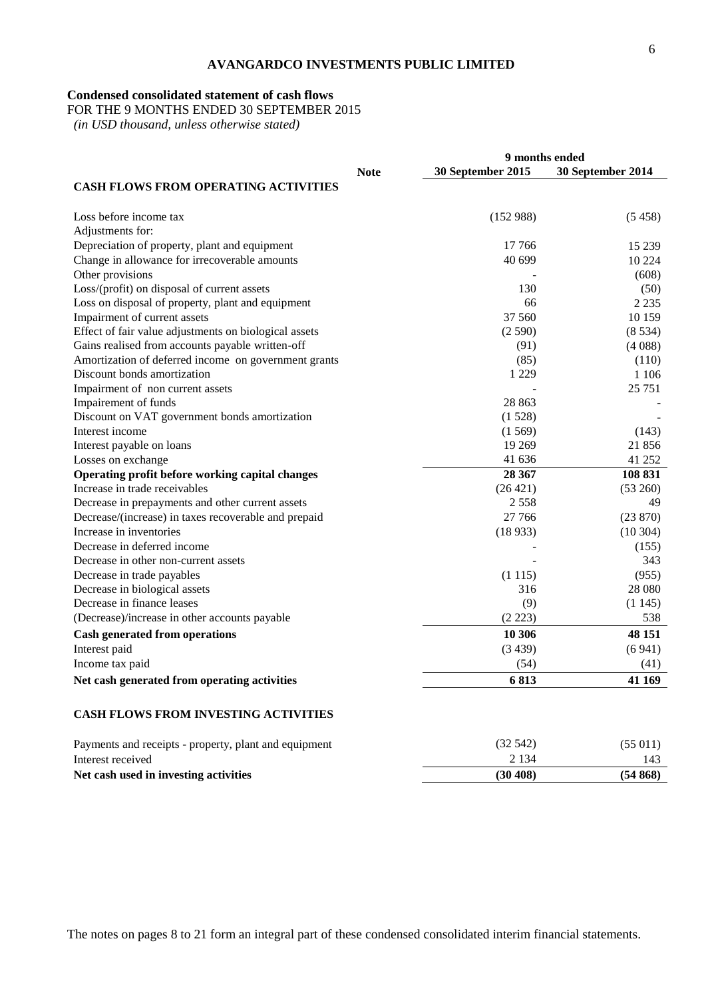## **Condensed consolidated statement of cash flows**

FOR THE 9 MONTHS ENDED 30 SEPTEMBER 2015

 *(in USD thousand, unless otherwise stated)*

|                                                       | 9 months ended |                   |                   |
|-------------------------------------------------------|----------------|-------------------|-------------------|
|                                                       | <b>Note</b>    | 30 September 2015 | 30 September 2014 |
| <b>CASH FLOWS FROM OPERATING ACTIVITIES</b>           |                |                   |                   |
|                                                       |                |                   |                   |
| Loss before income tax                                |                | (152988)          | (5458)            |
| Adjustments for:                                      |                |                   |                   |
| Depreciation of property, plant and equipment         |                | 17 766            | 15 239            |
| Change in allowance for irrecoverable amounts         |                | 40 699            | 10 224            |
| Other provisions                                      |                |                   | (608)             |
| Loss/(profit) on disposal of current assets           |                | 130               | (50)              |
| Loss on disposal of property, plant and equipment     |                | 66                | 2 2 3 5           |
| Impairment of current assets                          |                | 37 560            | 10 159            |
| Effect of fair value adjustments on biological assets |                | (2590)            | (8534)            |
| Gains realised from accounts payable written-off      |                | (91)              | (4088)            |
| Amortization of deferred income on government grants  |                | (85)              | (110)             |
| Discount bonds amortization                           |                | 1 2 2 9           | 1 1 0 6           |
| Impairment of non current assets                      |                |                   | 25 751            |
| Impairement of funds                                  |                | 28 863            |                   |
| Discount on VAT government bonds amortization         |                | (1528)            |                   |
| Interest income                                       |                | (1569)            | (143)             |
| Interest payable on loans                             |                | 19 269            | 21 856            |
| Losses on exchange                                    |                | 41 636            | 41 252            |
| Operating profit before working capital changes       |                | 28 367            | 108 831           |
| Increase in trade receivables                         |                | (26 421)          | (53 260)          |
| Decrease in prepayments and other current assets      |                | 2 5 5 8           | 49                |
| Decrease/(increase) in taxes recoverable and prepaid  |                | 27 766            | (23 870)          |
| Increase in inventories                               |                | (18933)           | (10304)           |
| Decrease in deferred income                           |                |                   | (155)             |
| Decrease in other non-current assets                  |                |                   | 343               |
| Decrease in trade payables                            |                | (1115)            | (955)             |
| Decrease in biological assets                         |                | 316               | 28 080            |
| Decrease in finance leases                            |                | (9)               | (1145)            |
| (Decrease)/increase in other accounts payable         |                | (2 223)           | 538               |
| <b>Cash generated from operations</b>                 |                | 10 30 6           | 48 151            |
| Interest paid                                         |                | (3439)            | (6941)            |
| Income tax paid                                       |                | (54)              | (41)              |
| Net cash generated from operating activities          |                | 6813              | 41 169            |
|                                                       |                |                   |                   |
| <b>CASH FLOWS FROM INVESTING ACTIVITIES</b>           |                |                   |                   |
| Payments and receipts - property, plant and equipment |                | (32542)           | (55011)           |
| Interest received                                     |                | 2 1 3 4           | 143               |

**Net cash used in investing activities (30 408) (54 868)**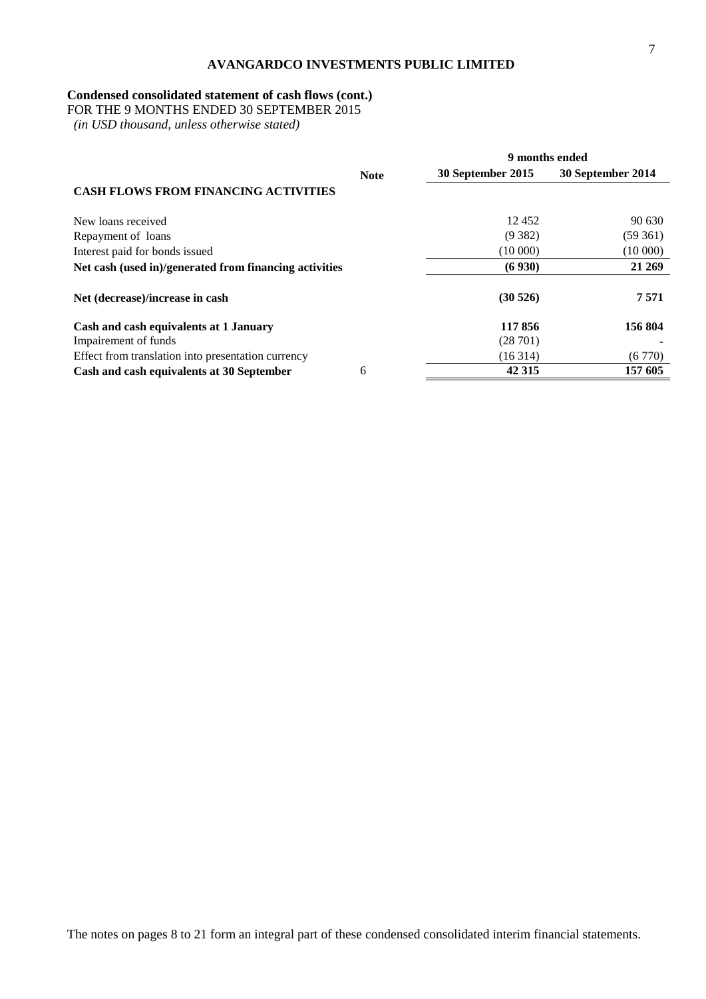# **Condensed consolidated statement of cash flows (cont.)**

FOR THE 9 MONTHS ENDED 30 SEPTEMBER 2015

 *(in USD thousand, unless otherwise stated)*

|                                                        |             | 9 months ended    |                   |  |
|--------------------------------------------------------|-------------|-------------------|-------------------|--|
|                                                        | <b>Note</b> | 30 September 2015 | 30 September 2014 |  |
| <b>CASH FLOWS FROM FINANCING ACTIVITIES</b>            |             |                   |                   |  |
| New loans received                                     |             | 12452             | 90 630            |  |
| Repayment of loans                                     |             | (9382)            | (59361)           |  |
| Interest paid for bonds issued                         |             | (10000)           | (10000)           |  |
| Net cash (used in)/generated from financing activities |             | (6930)            | 21 269            |  |
| Net (decrease)/increase in cash                        |             | (30526)           | 7571              |  |
| Cash and cash equivalents at 1 January                 |             | 117856            | 156 804           |  |
| Impairement of funds                                   |             | (28701)           |                   |  |
| Effect from translation into presentation currency     |             | (16314)           | (6770)            |  |
| Cash and cash equivalents at 30 September              | 6           | 42 3 15           | 157 605           |  |

The notes on pages 8 to 21 form an integral part of these condensed consolidated interim financial statements.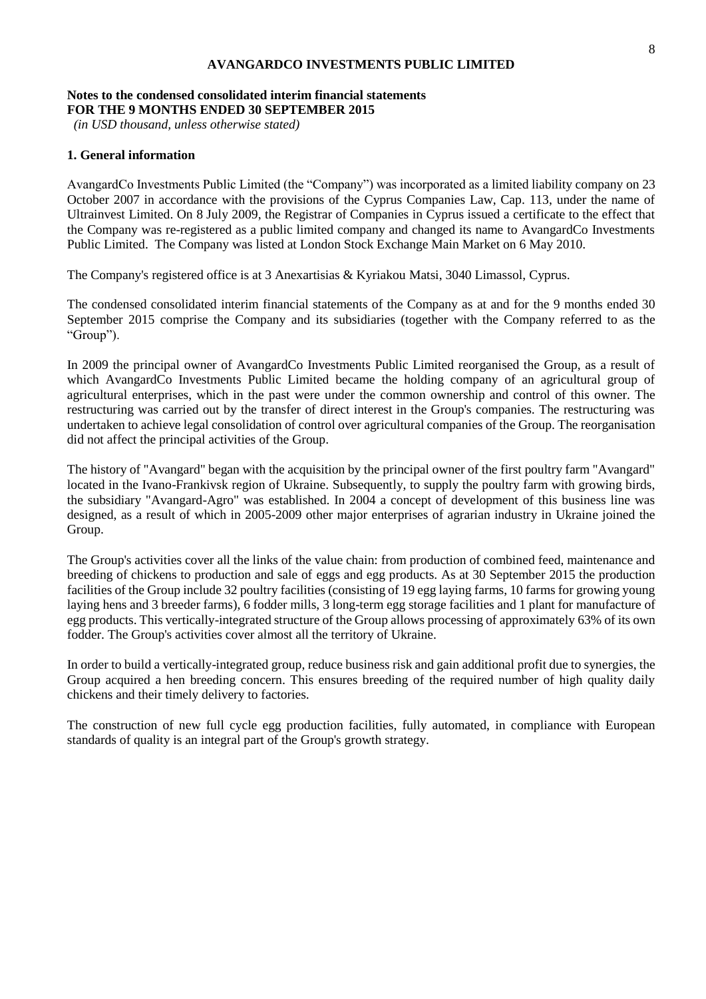## **Notes to the condensed consolidated interim financial statements FOR THE 9 MONTHS ENDED 30 SEPTEMBER 2015**

*(in USD thousand, unless otherwise stated)*

## **1. General information**

AvangardCo Investments Public Limited (the "Company") was incorporated as a limited liability company on 23 October 2007 in accordance with the provisions of the Cyprus Companies Law, Cap. 113, under the name of Ultrainvest Limited. On 8 July 2009, the Registrar of Companies in Cyprus issued a certificate to the effect that the Company was re-registered as a public limited company and changed its name to AvangardCo Investments Public Limited. The Company was listed at London Stock Exchange Main Market on 6 May 2010.

The Company's registered office is at 3 Anexartisias & Kyriakou Matsi, 3040 Limassol, Cyprus.

The condensed consolidated interim financial statements of the Company as at and for the 9 months ended 30 September 2015 comprise the Company and its subsidiaries (together with the Company referred to as the "Group").

In 2009 the principal owner of AvangardCo Investments Public Limited reorganised the Group, as a result of which AvangardCo Investments Public Limited became the holding company of an agricultural group of agricultural enterprises, which in the past were under the common ownership and control of this owner. The restructuring was carried out by the transfer of direct interest in the Group's companies. The restructuring was undertaken to achieve legal consolidation of control over agricultural companies of the Group. The reorganisation did not affect the principal activities of the Group.

The history of "Avangard" began with the acquisition by the principal owner of the first poultry farm "Avangard" located in the Ivano-Frankivsk region of Ukraine. Subsequently, to supply the poultry farm with growing birds, the subsidiary "Avangard-Agro" was established. In 2004 a concept of development of this business line was designed, as a result of which in 2005-2009 other major enterprises of agrarian industry in Ukraine joined the Group.

The Group's activities cover all the links of the value chain: from production of combined feed, maintenance and breeding of chickens to production and sale of eggs and egg products. As at 30 September 2015 the production facilities of the Group include 32 poultry facilities (consisting of 19 egg laying farms, 10 farms for growing young laying hens and 3 breeder farms), 6 fodder mills, 3 long-term egg storage facilities and 1 plant for manufacture of egg products. This vertically-integrated structure of the Group allows processing of approximately 63% of its own fodder. The Group's activities cover almost all the territory of Ukraine.

In order to build a vertically-integrated group, reduce business risk and gain additional profit due to synergies, the Group acquired a hen breeding concern. This ensures breeding of the required number of high quality daily chickens and their timely delivery to factories.

The construction of new full cycle egg production facilities, fully automated, in compliance with European standards of quality is an integral part of the Group's growth strategy.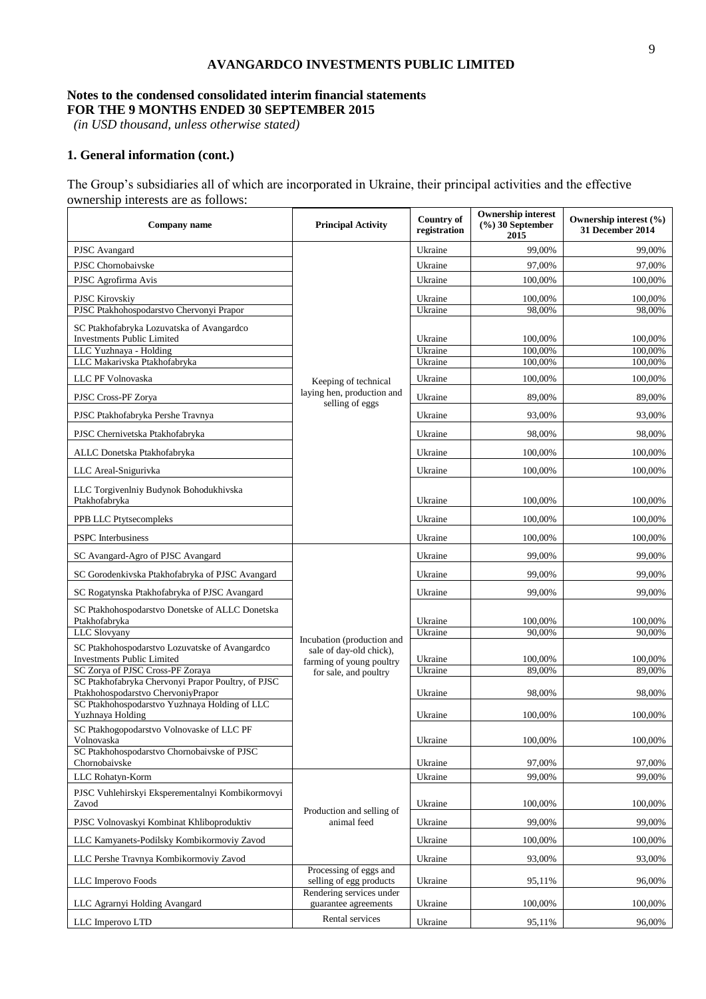# **Notes to the condensed consolidated interim financial statements FOR THE 9 MONTHS ENDED 30 SEPTEMBER 2015**

*(in USD thousand, unless otherwise stated)*

# **1. General information (cont.)**

The Group's subsidiaries all of which are incorporated in Ukraine, their principal activities and the effective ownership interests are as follows:

| Company name                                                                             | <b>Principal Activity</b>                                                         | Country of<br>registration | <b>Ownership interest</b><br>$(\frac{6}{6})$ 30 September<br>2015 | Ownership interest (%)<br>31 December 2014 |
|------------------------------------------------------------------------------------------|-----------------------------------------------------------------------------------|----------------------------|-------------------------------------------------------------------|--------------------------------------------|
| PJSC Avangard                                                                            |                                                                                   | Ukraine                    | 99,00%                                                            | 99,00%                                     |
| PJSC Chornobaivske                                                                       |                                                                                   | Ukraine                    | 97,00%                                                            | 97,00%                                     |
| PJSC Agrofirma Avis                                                                      |                                                                                   | Ukraine                    | 100,00%                                                           | 100,00%                                    |
| <b>PJSC Kirovskiy</b>                                                                    |                                                                                   | Ukraine                    | 100,00%                                                           | 100,00%                                    |
| PJSC Ptakhohospodarstvo Chervonyi Prapor                                                 |                                                                                   | Ukraine                    | 98,00%                                                            | 98,00%                                     |
| SC Ptakhofabryka Lozuvatska of Avangardco<br><b>Investments Public Limited</b>           |                                                                                   | Ukraine                    | 100,00%                                                           | 100.00%                                    |
| LLC Yuzhnaya - Holding<br>LLC Makarivska Ptakhofabryka                                   |                                                                                   | Ukraine<br>Ukraine         | 100,00%<br>100,00%                                                | 100,00%<br>100,00%                         |
| LLC PF Volnovaska                                                                        |                                                                                   | Ukraine                    | 100,00%                                                           | 100,00%                                    |
| PJSC Cross-PF Zorya                                                                      | Keeping of technical<br>laying hen, production and                                | Ukraine                    | 89,00%                                                            | 89,00%                                     |
| PJSC Ptakhofabryka Pershe Travnya                                                        | selling of eggs                                                                   | Ukraine                    | 93,00%                                                            | 93,00%                                     |
| PJSC Chernivetska Ptakhofabryka                                                          |                                                                                   | Ukraine                    | 98,00%                                                            | 98,00%                                     |
| ALLC Donetska Ptakhofabryka                                                              |                                                                                   | Ukraine                    | 100,00%                                                           | 100,00%                                    |
| LLC Areal-Snigurivka                                                                     |                                                                                   | Ukraine                    | 100,00%                                                           | 100.00%                                    |
| LLC Torgivenlniy Budynok Bohodukhivska<br>Ptakhofabryka                                  |                                                                                   | Ukraine                    | 100,00%                                                           | 100,00%                                    |
| PPB LLC Ptytsecompleks                                                                   |                                                                                   | Ukraine                    | 100,00%                                                           | 100,00%                                    |
| <b>PSPC</b> Interbusiness                                                                |                                                                                   | Ukraine                    | 100,00%                                                           | 100,00%                                    |
| SC Avangard-Agro of PJSC Avangard                                                        |                                                                                   | Ukraine                    | 99,00%                                                            | 99,00%                                     |
| SC Gorodenkivska Ptakhofabryka of PJSC Avangard                                          |                                                                                   | Ukraine                    | 99,00%                                                            | 99,00%                                     |
| SC Rogatynska Ptakhofabryka of PJSC Avangard                                             |                                                                                   | Ukraine                    | 99,00%                                                            | 99,00%                                     |
| SC Ptakhohospodarstvo Donetske of ALLC Donetska<br>Ptakhofabryka                         |                                                                                   | Ukraine                    | 100,00%                                                           | 100,00%                                    |
| LLC Slovyany                                                                             |                                                                                   | Ukraine                    | 90,00%                                                            | 90,00%                                     |
| SC Ptakhohospodarstvo Lozuvatske of Avangardco<br><b>Investments Public Limited</b>      | Incubation (production and<br>sale of day-old chick),<br>farming of young poultry | Ukraine                    | 100,00%                                                           | 100,00%                                    |
| SC Zorya of PJSC Cross-PF Zoraya                                                         | for sale, and poultry                                                             | Ukraine                    | 89,00%                                                            | 89,00%                                     |
| SC Ptakhofabryka Chervonyi Prapor Poultry, of PJSC<br>Ptakhohospodarstvo ChervoniyPrapor |                                                                                   | Ukraine                    | 98,00%                                                            | 98,00%                                     |
| SC Ptakhohospodarstvo Yuzhnaya Holding of LLC<br>Yuzhnaya Holding                        |                                                                                   | Ukraine                    | 100,00%                                                           | 100,00%                                    |
| SC Ptakhogopodarstvo Volnovaske of LLC PF<br>Volnovaska                                  |                                                                                   | Ukraine                    | 100,00%                                                           | 100,00%                                    |
| SC Ptakhohospodarstvo Chornobaivske of PJSC<br>Chornobaivske                             |                                                                                   | Ukraine                    | 97,00%                                                            | 97,00%                                     |
| LLC Rohatyn-Korm                                                                         |                                                                                   | Ukraine                    | 99,00%                                                            | 99,00%                                     |
| PJSC Vuhlehirskyi Eksperementalnyi Kombikormovyi<br>Zavod                                |                                                                                   | Ukraine                    | 100,00%                                                           | 100,00%                                    |
| PJSC Volnovaskyi Kombinat Khliboproduktiv                                                | Production and selling of<br>animal feed                                          | Ukraine                    | 99,00%                                                            | 99,00%                                     |
| LLC Kamyanets-Podilsky Kombikormoviy Zavod                                               |                                                                                   | Ukraine                    | 100,00%                                                           | 100,00%                                    |
| LLC Pershe Travnya Kombikormoviy Zavod                                                   |                                                                                   | Ukraine                    | 93,00%                                                            | 93,00%                                     |
| LLC Imperovo Foods                                                                       | Processing of eggs and<br>selling of egg products<br>Rendering services under     | Ukraine                    | 95,11%                                                            | 96,00%                                     |
| LLC Agrarnyi Holding Avangard                                                            | guarantee agreements                                                              | Ukraine                    | 100,00%                                                           | 100,00%                                    |
| LLC Imperovo LTD                                                                         | Rental services                                                                   | Ukraine                    | 95,11%                                                            | 96,00%                                     |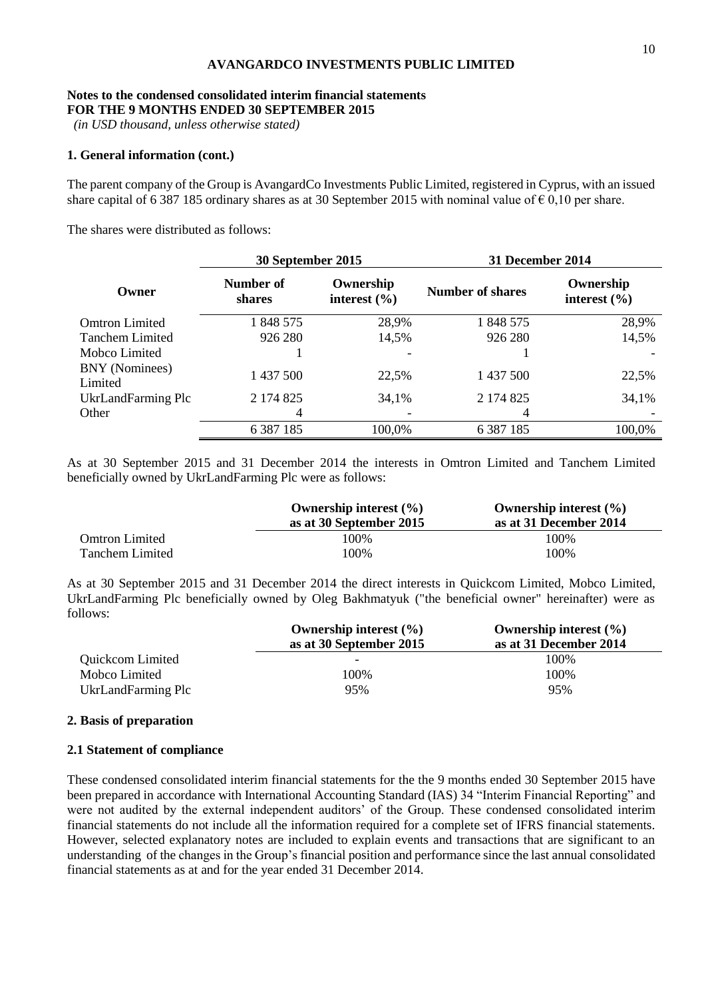#### **Notes to the condensed consolidated interim financial statements FOR THE 9 MONTHS ENDED 30 SEPTEMBER 2015**

*(in USD thousand, unless otherwise stated)*

## **1. General information (cont.)**

The parent company of the Group is AvangardCo Investments Public Limited, registered in Cyprus, with an issued share capital of 6 387 185 ordinary shares as at 30 September 2015 with nominal value of  $\epsilon$  0,10 per share.

The shares were distributed as follows:

|                           | 30 September 2015   |                               | 31 December 2014 |                               |
|---------------------------|---------------------|-------------------------------|------------------|-------------------------------|
| Owner                     | Number of<br>shares | Ownership<br>interest $(\% )$ | Number of shares | Ownership<br>interest $(\% )$ |
| <b>Omtron Limited</b>     | 1848575             | 28,9%                         | 1848 575         | 28,9%                         |
| <b>Tanchem Limited</b>    | 926 280             | 14,5%                         | 926 280          | 14,5%                         |
| Mobco Limited             |                     | -                             |                  |                               |
| BNY (Nominees)<br>Limited | 1 437 500           | 22,5%                         | 1 437 500        | 22,5%                         |
| UkrLandFarming Plc        | 2 174 825           | 34,1%                         | 2 174 825        | 34,1%                         |
| Other                     | 4                   |                               | 4                |                               |
|                           | 6 3 8 7 1 8 5       | 100,0%                        | 6 3 8 7 1 8 5    | 100,0%                        |

As at 30 September 2015 and 31 December 2014 the interests in Omtron Limited and Tanchem Limited beneficially owned by UkrLandFarming Plc were as follows:

|                       | Ownership interest $(\% )$<br>as at 30 September 2015 | Ownership interest $(\% )$<br>as at 31 December 2014 |
|-----------------------|-------------------------------------------------------|------------------------------------------------------|
| <b>Omtron Limited</b> | 100%                                                  | 100%                                                 |
| Tanchem Limited       | 100%                                                  | 100%                                                 |

As at 30 September 2015 and 31 December 2014 the direct interests in Quickcom Limited, Mobco Limited, UkrLandFarming Plc beneficially owned by Oleg Bakhmatyuk ("the beneficial owner" hereinafter) were as follows:

|                    | Ownership interest $(\% )$ | Ownership interest $(\% )$ |
|--------------------|----------------------------|----------------------------|
|                    | as at 30 September 2015    | as at 31 December 2014     |
| Quickcom Limited   |                            | 100%                       |
| Mobco Limited      | 100%                       | 100%                       |
| UkrLandFarming Plc | 95%                        | 95%                        |

#### **2. Basis of preparation**

#### **2.1 Statement of compliance**

These condensed consolidated interim financial statements for the the 9 months ended 30 September 2015 have been prepared in accordance with International Accounting Standard (IAS) 34 "Interim Financial Reporting" and were not audited by the external independent auditors' of the Group. These condensed consolidated interim financial statements do not include all the information required for a complete set of IFRS financial statements. However, selected explanatory notes are included to explain events and transactions that are significant to an understanding of the changes in the Group's financial position and performance since the last annual consolidated financial statements as at and for the year ended 31 December 2014.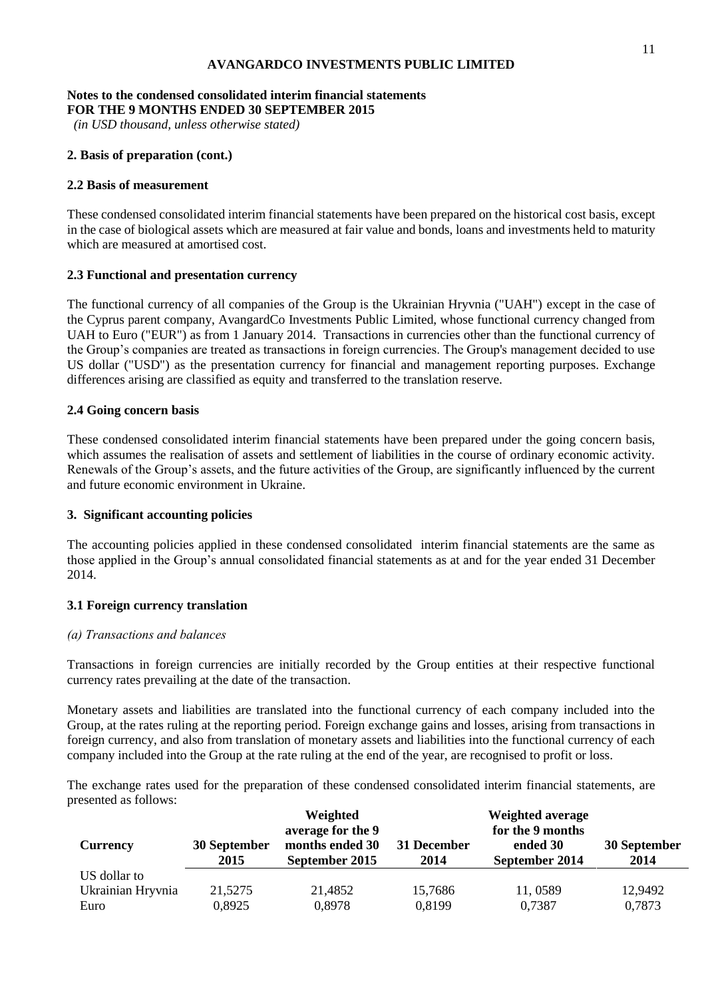### **Notes to the condensed consolidated interim financial statements FOR THE 9 MONTHS ENDED 30 SEPTEMBER 2015**

*(in USD thousand, unless otherwise stated)*

# **2. Basis of preparation (cont.)**

# **2.2 Basis of measurement**

These condensed consolidated interim financial statements have been prepared on the historical cost basis, except in the case of biological assets which are measured at fair value and bonds, loans and investments held to maturity which are measured at amortised cost.

# **2.3 Functional and presentation currency**

The functional currency of all companies of the Group is the Ukrainian Hryvnia ("UAH") except in the case of the Cyprus parent company, AvangardCo Investments Public Limited, whose functional currency changed from UAH to Euro ("EUR") as from 1 January 2014. Transactions in currencies other than the functional currency of the Group's companies are treated as transactions in foreign currencies. The Group's management decided to use US dollar ("USD") as the presentation currency for financial and management reporting purposes. Exchange differences arising are classified as equity and transferred to the translation reserve.

# **2.4 Going concern basis**

These condensed consolidated interim financial statements have been prepared under the going concern basis, which assumes the realisation of assets and settlement of liabilities in the course of ordinary economic activity. Renewals of the Group's assets, and the future activities of the Group, are significantly influenced by the current and future economic environment in Ukraine.

# **3. Significant accounting policies**

The accounting policies applied in these condensed consolidated interim financial statements are the same as those applied in the Group's annual consolidated financial statements as at and for the year ended 31 December 2014.

# **3.1 Foreign currency translation**

# *(а) Transactions and balances*

Transactions in foreign currencies are initially recorded by the Group entities at their respective functional currency rates prevailing at the date of the transaction.

Monetary assets and liabilities are translated into the functional currency of each company included into the Group, at the rates ruling at the reporting period. Foreign exchange gains and losses, arising from transactions in foreign currency, and also from translation of monetary assets and liabilities into the functional currency of each company included into the Group at the rate ruling at the end of the year, are recognised to profit or loss.

The exchange rates used for the preparation of these condensed consolidated interim financial statements, are presented as follows:

|                   |                      | Weighted                                               |                     | Weighted average                               |                      |
|-------------------|----------------------|--------------------------------------------------------|---------------------|------------------------------------------------|----------------------|
| <b>Currency</b>   | 30 September<br>2015 | average for the 9<br>months ended 30<br>September 2015 | 31 December<br>2014 | for the 9 months<br>ended 30<br>September 2014 | 30 September<br>2014 |
| US dollar to      |                      |                                                        |                     |                                                |                      |
| Ukrainian Hryvnia | 21,5275              | 21,4852                                                | 15,7686             | 11,0589                                        | 12,9492              |
| Euro              | 0,8925               | 0,8978                                                 | 0,8199              | 0,7387                                         | 0,7873               |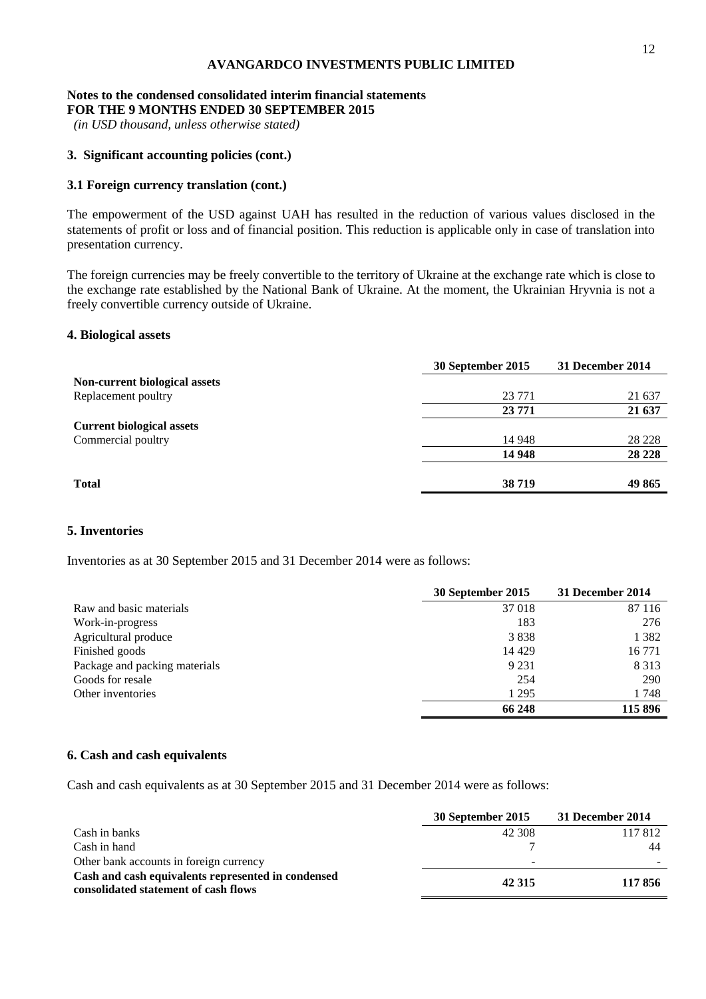#### **Notes to the condensed consolidated interim financial statements FOR THE 9 MONTHS ENDED 30 SEPTEMBER 2015**

*(in USD thousand, unless otherwise stated)*

# **3. Significant accounting policies (cont.)**

# **3.1 Foreign currency translation (cont.)**

The empowerment of the USD against UAH has resulted in the reduction of various values disclosed in the statements of profit or loss and of financial position. This reduction is applicable only in case of translation into presentation currency.

The foreign currencies may be freely convertible to the territory of Ukraine at the exchange rate which is close to the exchange rate established by the National Bank of Ukraine. At the moment, the Ukrainian Hryvnia is not a freely convertible currency outside of Ukraine.

## **4. Biological assets**

|                                  | 30 September 2015 | 31 December 2014 |
|----------------------------------|-------------------|------------------|
| Non-current biological assets    |                   |                  |
| Replacement poultry              | 23 771            | 21 637           |
|                                  | 23 771            | 21 637           |
| <b>Current biological assets</b> |                   |                  |
| Commercial poultry               | 14 948            | 28 228           |
|                                  | 14 948            | 28 2 28          |
| <b>Total</b>                     | 38719             | 49 865           |

### **5. Inventories**

Inventories as at 30 September 2015 and 31 December 2014 were as follows:

|                               | 30 September 2015 | 31 December 2014 |
|-------------------------------|-------------------|------------------|
| Raw and basic materials       | 37 018            | 87 116           |
| Work-in-progress              | 183               | 276              |
| Agricultural produce          | 3838              | 1 3 8 2          |
| Finished goods                | 14 4 29           | 16 771           |
| Package and packing materials | 9 2 3 1           | 8 3 1 3          |
| Goods for resale              | 254               | 290              |
| Other inventories             | 1 2 9 5           | 1748             |
|                               | 66 248            | 115 896          |

#### **6. Cash and cash equivalents**

Cash and cash equivalents as at 30 September 2015 and 31 December 2014 were as follows:

|                                                                                            | 30 September 2015 | 31 December 2014 |
|--------------------------------------------------------------------------------------------|-------------------|------------------|
| Cash in banks                                                                              | 42 308            | 117 812          |
| Cash in hand                                                                               |                   | 44               |
| Other bank accounts in foreign currency                                                    |                   |                  |
| Cash and cash equivalents represented in condensed<br>consolidated statement of cash flows | 42 3 15           | 117856           |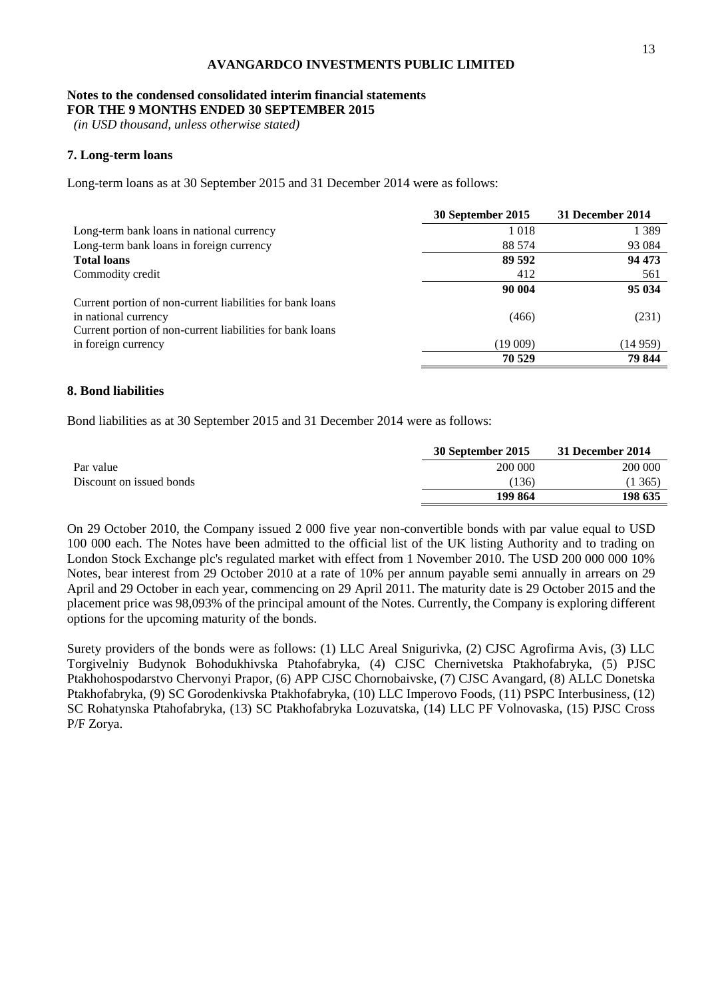#### **Notes to the condensed consolidated interim financial statements FOR THE 9 MONTHS ENDED 30 SEPTEMBER 2015**

*(in USD thousand, unless otherwise stated)*

## **7. Long-term loans**

Long-term loans as at 30 September 2015 and 31 December 2014 were as follows:

|                                                           | 30 September 2015 | 31 December 2014 |
|-----------------------------------------------------------|-------------------|------------------|
| Long-term bank loans in national currency                 | 1018              | 1 3 8 9          |
| Long-term bank loans in foreign currency                  | 88 574            | 93 0 84          |
| <b>Total loans</b>                                        | 89 592            | 94 473           |
| Commodity credit                                          | 412               | 561              |
|                                                           | 90 004            | 95 034           |
| Current portion of non-current liabilities for bank loans |                   |                  |
| in national currency                                      | (466)             | (231)            |
| Current portion of non-current liabilities for bank loans |                   |                  |
| in foreign currency                                       | (19009)           | (14959)          |
|                                                           | 70 529            | 79 844           |

## **8. Bond liabilities**

Bond liabilities as at 30 September 2015 and 31 December 2014 were as follows:

|                          | 30 September 2015 | 31 December 2014 |
|--------------------------|-------------------|------------------|
| Par value                | 200 000           | 200 000          |
| Discount on issued bonds | (136)             | 1365             |
|                          | 199 864           | 198 635          |

On 29 October 2010, the Company issued 2 000 five year non-convertible bonds with par value equal to USD 100 000 each. The Notes have been admitted to the official list of the UK listing Authority and to trading on London Stock Exchange plc's regulated market with effect from 1 November 2010. The USD 200 000 000 10% Notes, bear interest from 29 October 2010 at a rate of 10% per annum payable semi annually in arrears on 29 April and 29 October in each year, commencing on 29 April 2011. The maturity date is 29 October 2015 and the placement price was 98,093% of the principal amount of the Notes. Currently, the Company is exploring different options for the upcoming maturity of the bonds.

Surety providers of the bonds were as follows: (1) LLC Areal Snigurivka, (2) CJSC Agrofirma Avis, (3) LLC Torgivelniy Budynok Bohodukhivska Ptahofabryka, (4) CJSC Chernivetska Ptakhofabryka, (5) PJSC Ptakhohospodarstvo Chervonyi Prapor, (6) APP CJSC Chornobaivske, (7) CJSC Avangard, (8) ALLC Donetska Ptakhofabryka, (9) SC Gorodenkivska Ptakhofabryka, (10) LLC Imperovo Foods, (11) PSPC Interbusiness, (12) SC Rohatynska Ptahofabryka, (13) SC Ptakhofabryka Lozuvatska, (14) LLC PF Volnovaska, (15) PJSC Cross P/F Zorya.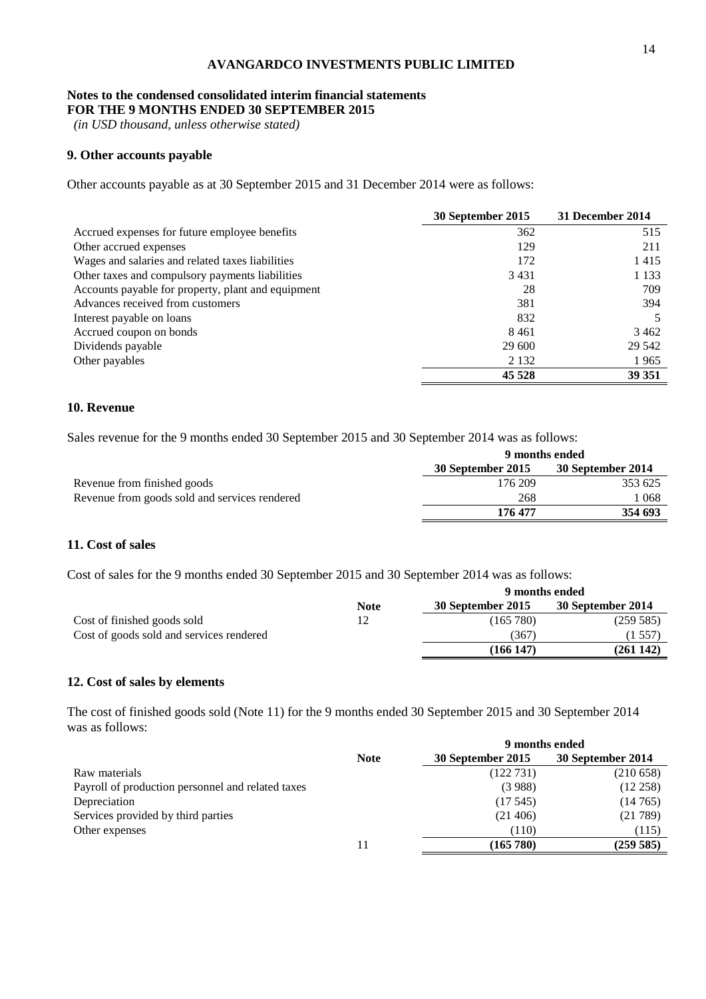#### **Notes to the condensed consolidated interim financial statements FOR THE 9 MONTHS ENDED 30 SEPTEMBER 2015**

*(in USD thousand, unless otherwise stated)*

# **9. Other accounts payable**

Other accounts payable as at 30 September 2015 and 31 December 2014 were as follows:

|                                                    | 30 September 2015 | 31 December 2014 |
|----------------------------------------------------|-------------------|------------------|
| Accrued expenses for future employee benefits      | 362               | 515              |
| Other accrued expenses                             | 129               | 211              |
| Wages and salaries and related taxes liabilities   | 172               | 1415             |
| Other taxes and compulsory payments liabilities    | 3431              | 1 1 3 3          |
| Accounts payable for property, plant and equipment | 28                | 709              |
| Advances received from customers                   | 381               | 394              |
| Interest payable on loans                          | 832               |                  |
| Accrued coupon on bonds                            | 8461              | 3 4 6 2          |
| Dividends payable                                  | 29 600            | 29 542           |
| Other payables                                     | 2 1 3 2           | 1965             |
|                                                    | 45 5 28           | 39 351           |

# **10. Revenue**

Sales revenue for the 9 months ended 30 September 2015 and 30 September 2014 was as follows:

|                                               | 9 months ended    |                   |  |
|-----------------------------------------------|-------------------|-------------------|--|
|                                               | 30 September 2015 | 30 September 2014 |  |
| Revenue from finished goods                   | 176 209           | 353 625           |  |
| Revenue from goods sold and services rendered | 268               | ! 068             |  |
|                                               | 176 477           | 354 693           |  |

## **11. Cost of sales**

Cost of sales for the 9 months ended 30 September 2015 and 30 September 2014 was as follows:

|                                          | 9 months ended |                   |                   |  |
|------------------------------------------|----------------|-------------------|-------------------|--|
|                                          | <b>Note</b>    | 30 September 2015 | 30 September 2014 |  |
| Cost of finished goods sold              | 12             | (165 780)         | (259585)          |  |
| Cost of goods sold and services rendered |                | (367)             | (1 557            |  |
|                                          |                | (166147)          | (261142)          |  |

# **12. Cost of sales by elements**

The cost of finished goods sold (Note 11) for the 9 months ended 30 September 2015 and 30 September 2014 was as follows:

|                                                   | 9 months ended |                   |                   |  |
|---------------------------------------------------|----------------|-------------------|-------------------|--|
|                                                   | <b>Note</b>    | 30 September 2015 | 30 September 2014 |  |
| Raw materials                                     |                | (122731)          | (210658)          |  |
| Payroll of production personnel and related taxes |                | (3988)            | (12 258)          |  |
| Depreciation                                      |                | (17.545)          | (14765)           |  |
| Services provided by third parties                |                | (21406)           | (21789)           |  |
| Other expenses                                    |                | (110)             | (115)             |  |
|                                                   | 11             | (165 780)         | (259585)          |  |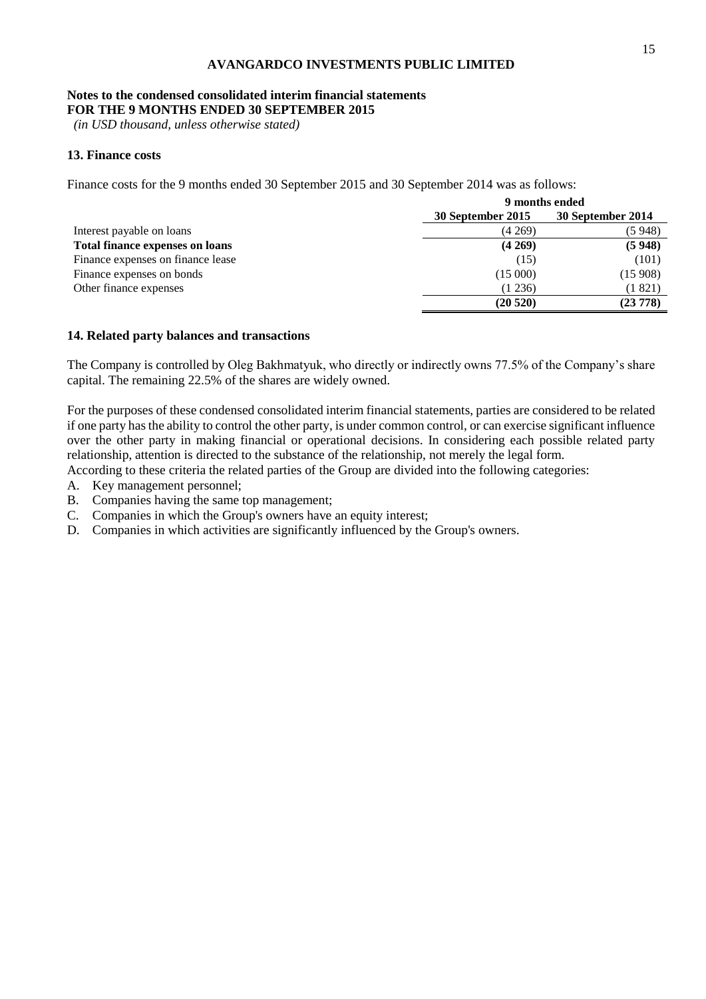#### **Notes to the condensed consolidated interim financial statements FOR THE 9 MONTHS ENDED 30 SEPTEMBER 2015**

*(in USD thousand, unless otherwise stated)*

# **13. Finance costs**

Finance costs for the 9 months ended 30 September 2015 and 30 September 2014 was as follows:

| 9 months ended    |                   |  |
|-------------------|-------------------|--|
| 30 September 2015 | 30 September 2014 |  |
| (4269)            | (5948)            |  |
| (4269)            | (5948)            |  |
| (15)              | (101)             |  |
| (15000)           | (15908)           |  |
| (1236)            | (1821)            |  |
| (20520)           | (23 778)          |  |
|                   |                   |  |

#### **14. Related party balances and transactions**

The Company is controlled by Oleg Bakhmatyuk, who directly or indirectly owns 77.5% of the Company's share capital. The remaining 22.5% of the shares are widely owned.

For the purposes of these condensed consolidated interim financial statements, parties are considered to be related if one party has the ability to control the other party, is under common control, or can exercise significant influence over the other party in making financial or operational decisions. In considering each possible related party relationship, attention is directed to the substance of the relationship, not merely the legal form.

According to these criteria the related parties of the Group are divided into the following categories:

- A. Key management personnel;
- B. Companies having the same top management;
- C. Companies in which the Group's owners have an equity interest;
- D. Companies in which activities are significantly influenced by the Group's owners.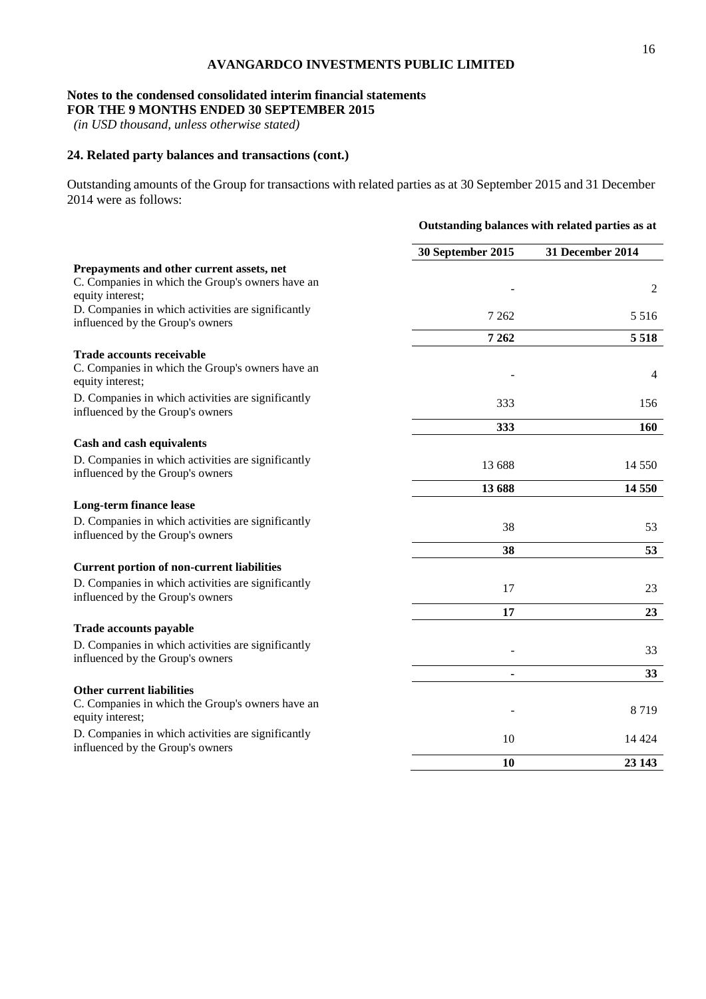## **Notes to the condensed consolidated interim financial statements FOR THE 9 MONTHS ENDED 30 SEPTEMBER 2015**

*(in USD thousand, unless otherwise stated)*

# **24. Related party balances and transactions (cont.)**

Outstanding amounts of the Group for transactions with related parties as at 30 September 2015 and 31 December 2014 were as follows:

|                                                                                                                   | Outstanding balances with related parties as at |                  |  |
|-------------------------------------------------------------------------------------------------------------------|-------------------------------------------------|------------------|--|
|                                                                                                                   | 30 September 2015                               | 31 December 2014 |  |
| Prepayments and other current assets, net<br>C. Companies in which the Group's owners have an<br>equity interest; |                                                 | 2                |  |
| D. Companies in which activities are significantly<br>influenced by the Group's owners                            | 7 2 6 2                                         | 5 5 1 6          |  |
|                                                                                                                   | 7 2 6 2                                         | 5 5 1 8          |  |
| <b>Trade accounts receivable</b><br>C. Companies in which the Group's owners have an<br>equity interest;          |                                                 | $\overline{4}$   |  |
| D. Companies in which activities are significantly<br>influenced by the Group's owners                            | 333                                             | 156              |  |
|                                                                                                                   | 333                                             | <b>160</b>       |  |
| Cash and cash equivalents                                                                                         |                                                 |                  |  |
| D. Companies in which activities are significantly<br>influenced by the Group's owners                            | 13 688                                          | 14 550           |  |
|                                                                                                                   | 13 688                                          | 14 5 5 0         |  |
| Long-term finance lease                                                                                           |                                                 |                  |  |
| D. Companies in which activities are significantly<br>influenced by the Group's owners                            | 38                                              | 53               |  |
|                                                                                                                   | 38                                              | 53               |  |
| <b>Current portion of non-current liabilities</b>                                                                 |                                                 |                  |  |
| D. Companies in which activities are significantly<br>influenced by the Group's owners                            | 17                                              | 23               |  |
|                                                                                                                   | 17                                              | 23               |  |
| <b>Trade accounts payable</b>                                                                                     |                                                 |                  |  |
| D. Companies in which activities are significantly<br>influenced by the Group's owners                            |                                                 | 33               |  |
|                                                                                                                   |                                                 | 33               |  |
| <b>Other current liabilities</b><br>C. Companies in which the Group's owners have an<br>equity interest;          |                                                 | 8719             |  |
| D. Companies in which activities are significantly<br>influenced by the Group's owners                            | 10                                              | 14 4 24          |  |
|                                                                                                                   | 10                                              | 23 143           |  |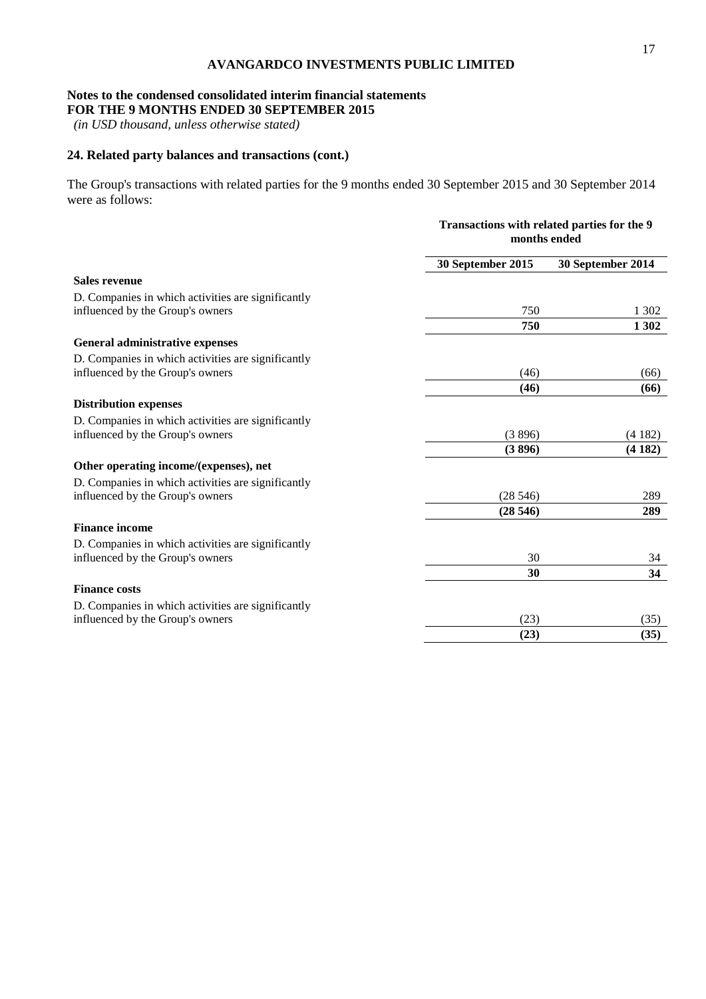## **Notes to the condensed consolidated interim financial statements FOR THE 9 MONTHS ENDED 30 SEPTEMBER 2015**

*(in USD thousand, unless otherwise stated)*

# **24. Related party balances and transactions (cont.)**

The Group's transactions with related parties for the 9 months ended 30 September 2015 and 30 September 2014 were as follows:

|                                                    | Transactions with related parties for the 9<br>months ended |                   |
|----------------------------------------------------|-------------------------------------------------------------|-------------------|
|                                                    | 30 September 2015                                           | 30 September 2014 |
| Sales revenue                                      |                                                             |                   |
| D. Companies in which activities are significantly |                                                             |                   |
| influenced by the Group's owners                   | 750                                                         | 1 302             |
|                                                    | 750                                                         | 1 302             |
| <b>General administrative expenses</b>             |                                                             |                   |
| D. Companies in which activities are significantly |                                                             |                   |
| influenced by the Group's owners                   | (46)                                                        | (66)              |
|                                                    | (46)                                                        | (66)              |
| <b>Distribution expenses</b>                       |                                                             |                   |
| D. Companies in which activities are significantly |                                                             |                   |
| influenced by the Group's owners                   | (3896)                                                      | (4182)            |
|                                                    | (3896)                                                      | (4182)            |
| Other operating income/(expenses), net             |                                                             |                   |
| D. Companies in which activities are significantly |                                                             |                   |
| influenced by the Group's owners                   | (28546)                                                     | 289               |
|                                                    | (28546)                                                     | 289               |
| <b>Finance income</b>                              |                                                             |                   |
| D. Companies in which activities are significantly |                                                             |                   |
| influenced by the Group's owners                   | 30                                                          | 34                |
|                                                    | 30                                                          | 34                |
| <b>Finance costs</b>                               |                                                             |                   |
| D. Companies in which activities are significantly |                                                             |                   |
| influenced by the Group's owners                   | (23)                                                        | (35)              |
|                                                    | (23)                                                        | (35)              |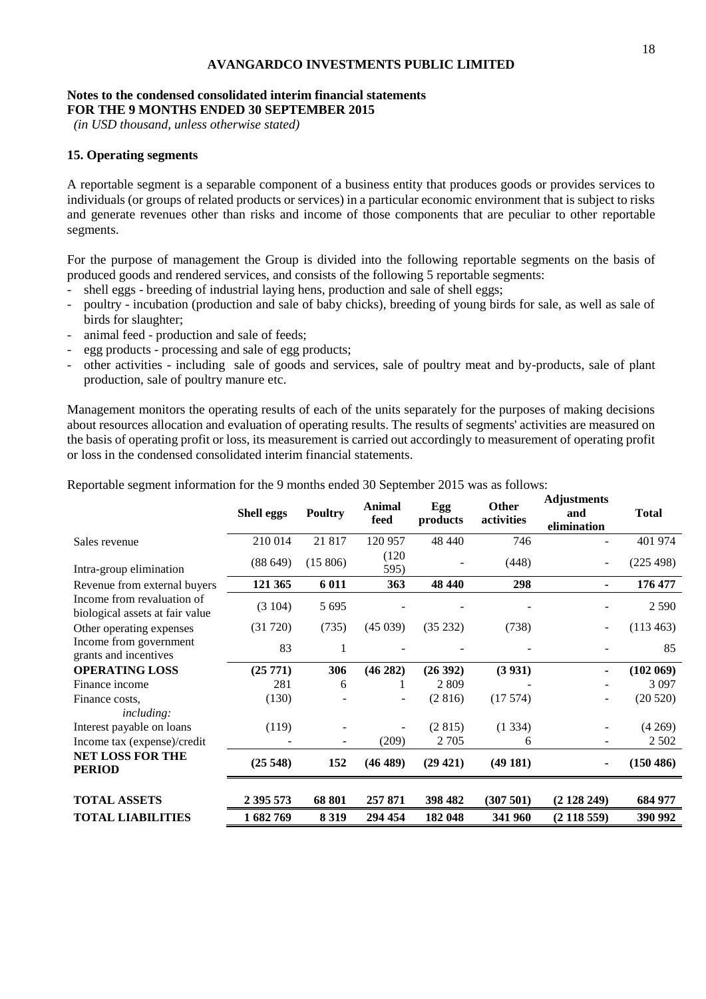#### **Notes to the condensed consolidated interim financial statements FOR THE 9 MONTHS ENDED 30 SEPTEMBER 2015**

*(in USD thousand, unless otherwise stated)*

## **15. Operating segments**

A reportable segment is a separable component of a business entity that produces goods or provides services to individuals (or groups of related products or services) in a particular economic environment that is subject to risks and generate revenues other than risks and income of those components that are peculiar to other reportable segments.

For the purpose of management the Group is divided into the following reportable segments on the basis of produced goods and rendered services, and consists of the following 5 reportable segments:

- shell eggs breeding of industrial laying hens, production and sale of shell eggs;
- poultry incubation (production and sale of baby chicks), breeding of young birds for sale, as well as sale of birds for slaughter;
- animal feed production and sale of feeds;
- egg products processing and sale of egg products;
- other activities including sale of goods and services, sale of poultry meat and by-products, sale of plant production, sale of poultry manure etc.

Management monitors the operating results of each of the units separately for the purposes of making decisions about resources allocation and evaluation of operating results. The results of segments' activities are measured on the basis of operating profit or loss, its measurement is carried out accordingly to measurement of operating profit or loss in the condensed consolidated interim financial statements.

Reportable segment information for the 9 months ended 30 September 2015 was as follows:

|                                                               | <b>Shell eggs</b> | <b>Poultry</b>           | <b>Animal</b><br>feed | Egg<br>products | <b>Other</b><br>activities | Aujustments<br>and<br>elimination | <b>Total</b> |
|---------------------------------------------------------------|-------------------|--------------------------|-----------------------|-----------------|----------------------------|-----------------------------------|--------------|
| Sales revenue                                                 | 210 014           | 21817                    | 120 957               | 48 440          | 746                        |                                   | 401 974      |
| Intra-group elimination                                       | (88649)           | (15806)                  | (120)<br>595)         |                 | (448)                      | $\overline{\phantom{a}}$          | (225 498)    |
| Revenue from external buyers                                  | 121 365           | 6 0 1 1                  | 363                   | 48 440          | 298                        | $\blacksquare$                    | 176 477      |
| Income from revaluation of<br>biological assets at fair value | (3104)            | 5 6 9 5                  |                       |                 |                            |                                   | 2 5 9 0      |
| Other operating expenses                                      | (31 720)          | (735)                    | (45039)               | (35 232)        | (738)                      | $\overline{\phantom{a}}$          | (113 463)    |
| Income from government<br>grants and incentives               | 83                | 1                        |                       |                 |                            |                                   | 85           |
| <b>OPERATING LOSS</b>                                         | (25771)           | 306                      | (46282)               | (26 392)        | (3 931)                    | ۰                                 | (102 069)    |
| Finance income                                                | 281               | 6                        |                       | 2809            |                            |                                   | 3 0 9 7      |
| Finance costs.                                                | (130)             |                          | $\overline{a}$        | (2816)          | (17574)                    | $\overline{\phantom{a}}$          | (20520)      |
| <i>including:</i>                                             |                   |                          |                       |                 |                            |                                   |              |
| Interest payable on loans                                     | (119)             |                          |                       | (2815)          | (1334)                     |                                   | (4269)       |
| Income tax (expense)/credit                                   |                   | $\overline{\phantom{a}}$ | (209)                 | 2 7 0 5         | 6                          | $\overline{\phantom{a}}$          | 2 5 0 2      |
| <b>NET LOSS FOR THE</b><br><b>PERIOD</b>                      | (25548)           | 152                      | (46 489)              | (29 421)        | (49181)                    | $\blacksquare$                    | (150 486)    |
| <b>TOTAL ASSETS</b>                                           | 2 395 573         | 68 801                   | 257 871               | 398 482         | (307501)                   | (2128249)                         | 684 977      |
| <b>TOTAL LIABILITIES</b>                                      | 1682769           | 8 3 1 9                  | 294 454               | 182 048         | 341 960                    | $(2\,118\,559)$                   | 390 992      |

**Adjustments**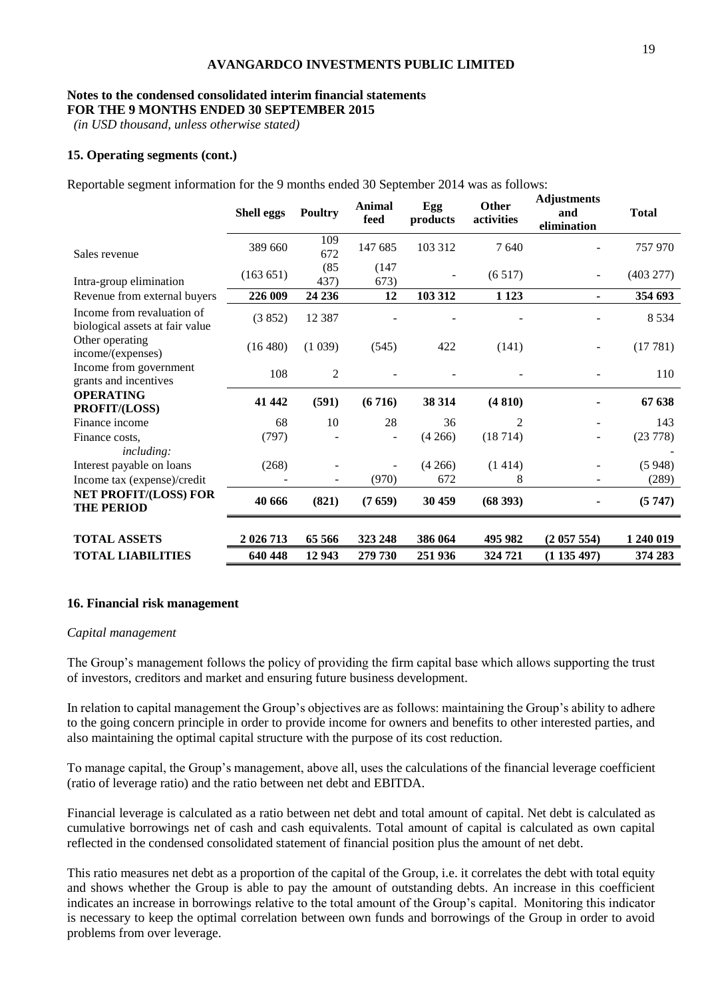#### **Notes to the condensed consolidated interim financial statements FOR THE 9 MONTHS ENDED 30 SEPTEMBER 2015**

*(in USD thousand, unless otherwise stated)*

# **15. Operating segments (cont.)**

Reportable segment information for the 9 months ended 30 September 2014 was as follows:

|                                                               | <b>Shell eggs</b> | Poultry        | <b>Animal</b><br>feed | Egg<br>products | <b>Other</b><br>activities | <b>Adjustments</b><br>and<br>elimination | <b>Total</b> |
|---------------------------------------------------------------|-------------------|----------------|-----------------------|-----------------|----------------------------|------------------------------------------|--------------|
| Sales revenue                                                 | 389 660           | 109<br>672     | 147 685               | 103 312         | 7640                       |                                          | 757 970      |
| Intra-group elimination                                       | (163 651)         | (85)<br>437)   | (147)<br>673)         |                 | (6517)                     |                                          | (403 277)    |
| Revenue from external buyers                                  | 226 009           | 24 236         | 12                    | 103 312         | 1 1 2 3                    | ٠                                        | 354 693      |
| Income from revaluation of<br>biological assets at fair value | (3852)            | 12 3 8 7       |                       |                 |                            |                                          | 8 5 3 4      |
| Other operating<br>income/(expenses)                          | (16 480)          | (1039)         | (545)                 | 422             | (141)                      |                                          | (17781)      |
| Income from government<br>grants and incentives               | 108               | $\overline{2}$ |                       |                 |                            |                                          | 110          |
| <b>OPERATING</b><br>PROFIT/(LOSS)                             | 41 442            | (591)          | (6716)                | 38 314          | (4810)                     |                                          | 67 638       |
| Finance income                                                | 68                | 10             | 28                    | 36              | 2                          |                                          | 143          |
| Finance costs.<br>including:                                  | (797)             |                |                       | (4266)          | (18714)                    |                                          | (23 778)     |
| Interest payable on loans                                     | (268)             |                |                       | (4266)          | (1414)                     |                                          | (5948)       |
| Income tax (expense)/credit                                   |                   |                | (970)                 | 672             | 8                          |                                          | (289)        |
| NET PROFIT/(LOSS) FOR<br><b>THE PERIOD</b>                    | 40 666            | (821)          | (7659)                | 30 459          | (68 393)                   |                                          | (5747)       |
| <b>TOTAL ASSETS</b>                                           | 2 026 713         | 65 566         | 323 248               | 386 064         | 495 982                    | (2057554)                                | 1 240 019    |
| <b>TOTAL LIABILITIES</b>                                      | 640 448           | 12 943         | 279 730               | 251 936         | 324 721                    | (1135497)                                | 374 283      |
|                                                               |                   |                |                       |                 |                            |                                          |              |

#### **16. Financial risk management**

#### *Capital management*

The Group's management follows the policy of providing the firm capital base which allows supporting the trust of investors, creditors and market and ensuring future business development.

In relation to capital management the Group's objectives are as follows: maintaining the Group's ability to adhere to the going concern principle in order to provide income for owners and benefits to other interested parties, and also maintaining the optimal capital structure with the purpose of its cost reduction.

To manage capital, the Group's management, above all, uses the calculations of the financial leverage coefficient (ratio of leverage ratio) and the ratio between net debt and EBITDA.

Financial leverage is calculated as a ratio between net debt and total amount of capital. Net debt is calculated as cumulative borrowings net of cash and cash equivalents. Total amount of capital is calculated as own capital reflected in the condensed consolidated statement of financial position plus the amount of net debt.

This ratio measures net debt as a proportion of the capital of the Group, i.e. it correlates the debt with total equity and shows whether the Group is able to pay the amount of outstanding debts. An increase in this coefficient indicates an increase in borrowings relative to the total amount of the Group's capital. Monitoring this indicator is necessary to keep the optimal correlation between own funds and borrowings of the Group in order to avoid problems from over leverage.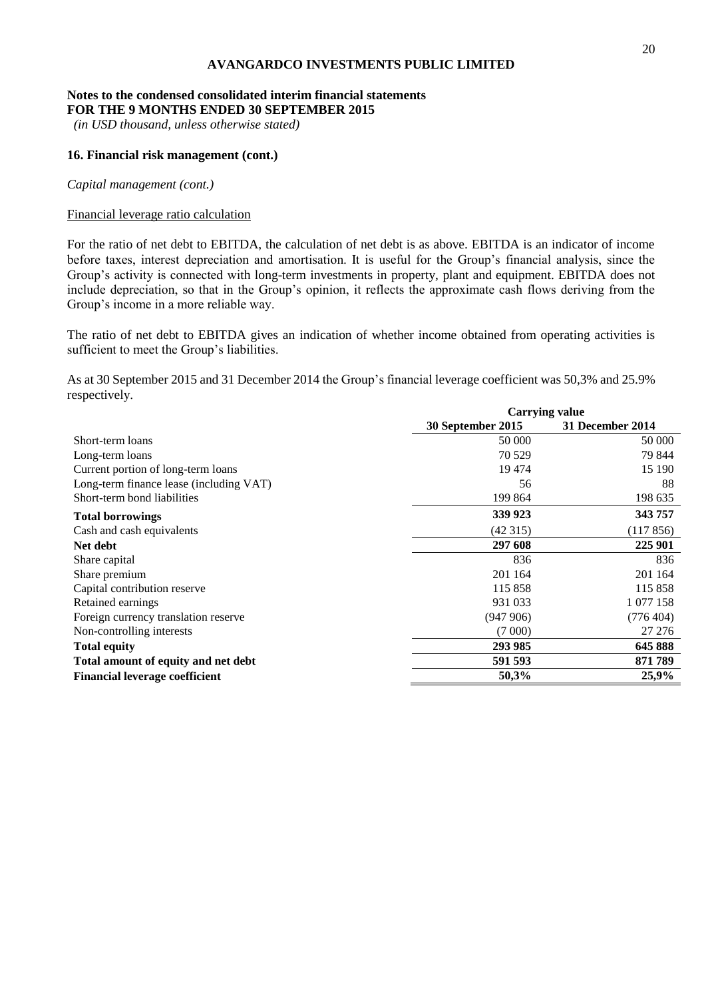#### **Notes to the condensed consolidated interim financial statements FOR THE 9 MONTHS ENDED 30 SEPTEMBER 2015**

*(in USD thousand, unless otherwise stated)*

## **16. Financial risk management (cont.)**

*Capital management (cont.)*

## Financial leverage ratio calculation

For the ratio of net debt to EBITDA, the calculation of net debt is as above. EBITDA is an indicator of income before taxes, interest depreciation and amortisation. It is useful for the Group's financial analysis, since the Group's activity is connected with long-term investments in property, plant and equipment. EBITDA does not include depreciation, so that in the Group's opinion, it reflects the approximate cash flows deriving from the Group's income in a more reliable way.

The ratio of net debt to EBITDA gives an indication of whether income obtained from operating activities is sufficient to meet the Group's liabilities.

As at 30 September 2015 and 31 December 2014 the Group's financial leverage coefficient was 50,3% and 25.9% respectively.

|                                         | <b>Carrying value</b> |                  |  |
|-----------------------------------------|-----------------------|------------------|--|
|                                         | 30 September 2015     | 31 December 2014 |  |
| Short-term loans                        | 50 000                | 50 000           |  |
| Long-term loans                         | 70 5 29               | 79 844           |  |
| Current portion of long-term loans      | 19 4 74               | 15 190           |  |
| Long-term finance lease (including VAT) | 56                    | 88               |  |
| Short-term bond liabilities             | 199 864               | 198 635          |  |
| <b>Total borrowings</b>                 | 339 923               | 343 757          |  |
| Cash and cash equivalents               | (42315)               | (117856)         |  |
| Net debt                                | 297 608               | 225 901          |  |
| Share capital                           | 836                   | 836              |  |
| Share premium                           | 201 164               | 201 164          |  |
| Capital contribution reserve            | 115 858               | 115 858          |  |
| Retained earnings                       | 931 033               | 1 077 158        |  |
| Foreign currency translation reserve    | (947906)              | (776 404)        |  |
| Non-controlling interests               | (7000)                | 27 27 6          |  |
| <b>Total equity</b>                     | 293 985               | 645 888          |  |
| Total amount of equity and net debt     | 591 593               | 871789           |  |
| <b>Financial leverage coefficient</b>   | 50,3%                 | 25,9%            |  |